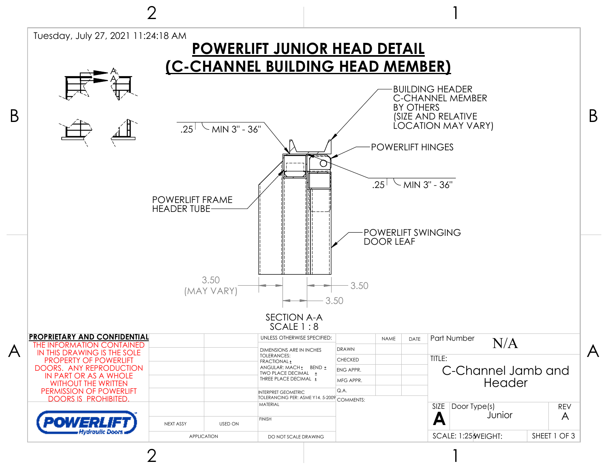

2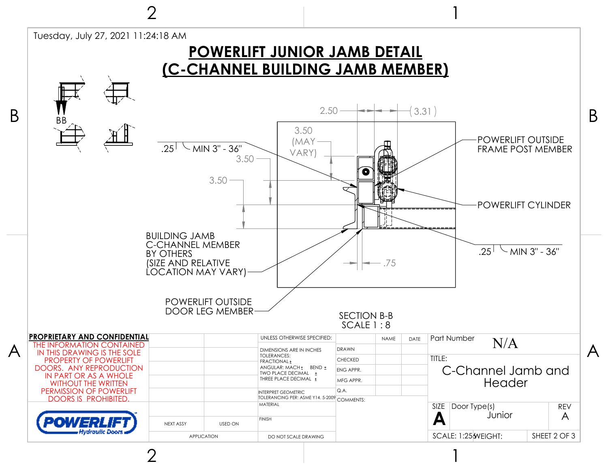

ク